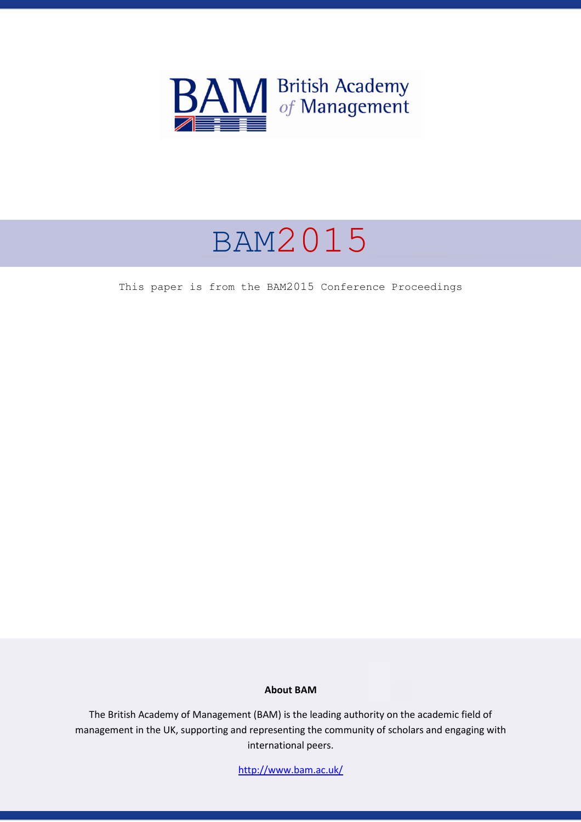

# BAM2015

This paper is from the BAM2015 Conference Proceedings

#### **About BAM**

The British Academy of Management (BAM) is the leading authority on the academic field of management in the UK, supporting and representing the community of scholars and engaging with international peers.

http://www.bam.ac.uk/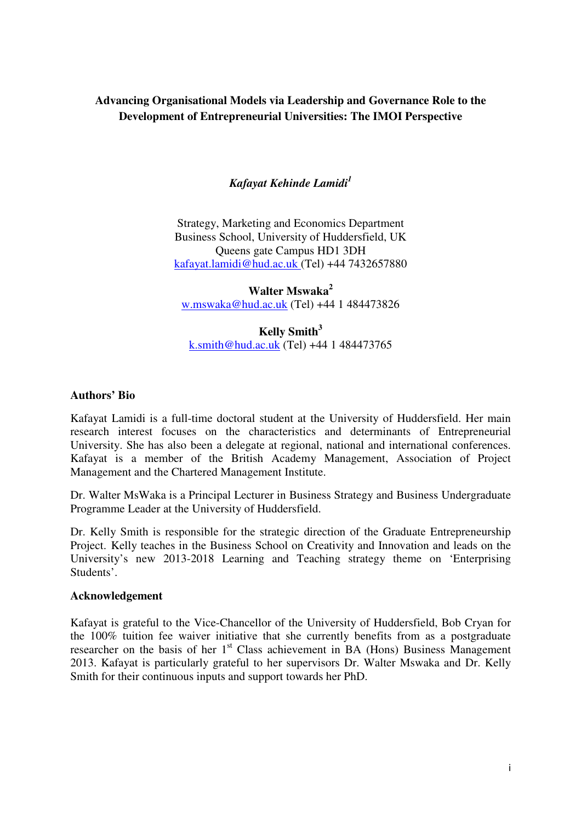# **Advancing Organisational Models via Leadership and Governance Role to the Development of Entrepreneurial Universities: The IMOI Perspective**

# *Kafayat Kehinde Lamidi<sup>1</sup>*

Strategy, Marketing and Economics Department Business School, University of Huddersfield, UK Queens gate Campus HD1 3DH kafayat.lamidi@hud.ac.uk (Tel) +44 7432657880

**Walter Mswaka<sup>2</sup>** w.mswaka@hud.ac.uk (Tel) +44 1 484473826

**Kelly Smith<sup>3</sup>** k.smith@hud.ac.uk (Tel) +44 1 484473765

#### **Authors' Bio**

Kafayat Lamidi is a full-time doctoral student at the University of Huddersfield. Her main research interest focuses on the characteristics and determinants of Entrepreneurial University. She has also been a delegate at regional, national and international conferences. Kafayat is a member of the British Academy Management, Association of Project Management and the Chartered Management Institute.

Dr. Walter MsWaka is a Principal Lecturer in Business Strategy and Business Undergraduate Programme Leader at the University of Huddersfield.

Dr. Kelly Smith is responsible for the strategic direction of the Graduate Entrepreneurship Project. Kelly teaches in the Business School on Creativity and Innovation and leads on the University's new 2013-2018 Learning and Teaching strategy theme on 'Enterprising Students'.

#### **Acknowledgement**

Kafayat is grateful to the Vice-Chancellor of the University of Huddersfield, Bob Cryan for the 100% tuition fee waiver initiative that she currently benefits from as a postgraduate researcher on the basis of her 1<sup>st</sup> Class achievement in BA (Hons) Business Management 2013. Kafayat is particularly grateful to her supervisors Dr. Walter Mswaka and Dr. Kelly Smith for their continuous inputs and support towards her PhD.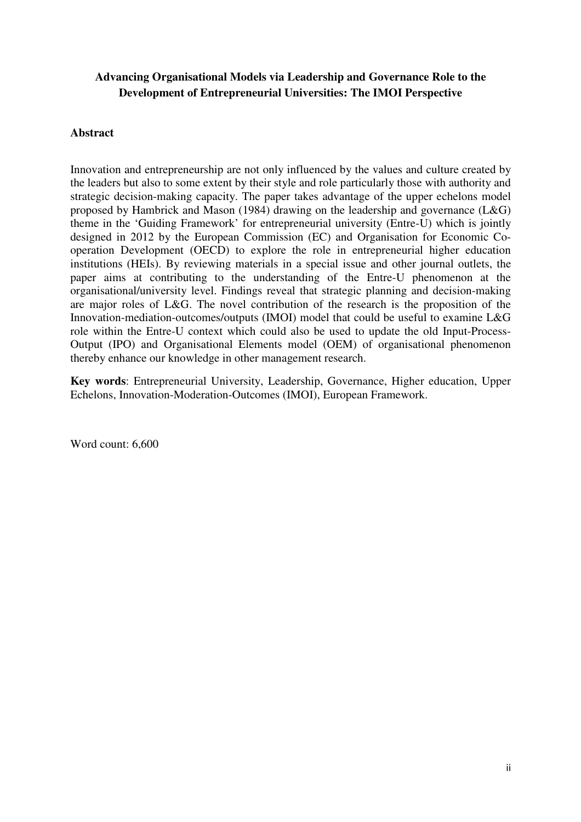# **Advancing Organisational Models via Leadership and Governance Role to the Development of Entrepreneurial Universities: The IMOI Perspective**

## **Abstract**

Innovation and entrepreneurship are not only influenced by the values and culture created by the leaders but also to some extent by their style and role particularly those with authority and strategic decision-making capacity. The paper takes advantage of the upper echelons model proposed by Hambrick and Mason (1984) drawing on the leadership and governance (L&G) theme in the 'Guiding Framework' for entrepreneurial university (Entre-U) which is jointly designed in 2012 by the European Commission (EC) and Organisation for Economic Cooperation Development (OECD) to explore the role in entrepreneurial higher education institutions (HEIs). By reviewing materials in a special issue and other journal outlets, the paper aims at contributing to the understanding of the Entre-U phenomenon at the organisational/university level. Findings reveal that strategic planning and decision-making are major roles of L&G. The novel contribution of the research is the proposition of the Innovation-mediation-outcomes/outputs (IMOI) model that could be useful to examine L&G role within the Entre-U context which could also be used to update the old Input-Process-Output (IPO) and Organisational Elements model (OEM) of organisational phenomenon thereby enhance our knowledge in other management research.

**Key words**: Entrepreneurial University, Leadership, Governance, Higher education, Upper Echelons, Innovation-Moderation-Outcomes (IMOI), European Framework.

Word count: 6,600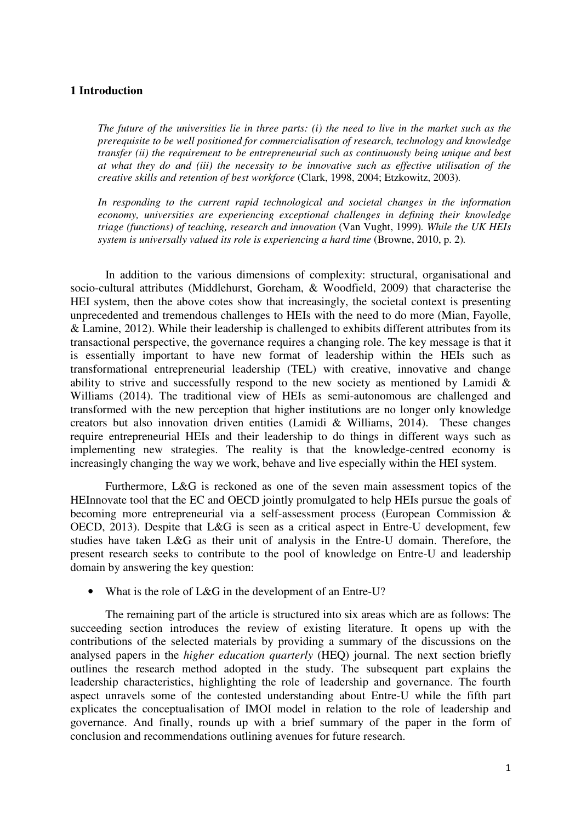#### **1 Introduction**

*The future of the universities lie in three parts: (i) the need to live in the market such as the prerequisite to be well positioned for commercialisation of research, technology and knowledge transfer (ii) the requirement to be entrepreneurial such as continuously being unique and best at what they do and (iii) the necessity to be innovative such as effective utilisation of the creative skills and retention of best workforce* (Clark, 1998, 2004; Etzkowitz, 2003)*.* 

*In responding to the current rapid technological and societal changes in the information economy, universities are experiencing exceptional challenges in defining their knowledge triage (functions) of teaching, research and innovation* (Van Vught, 1999)*. While the UK HEIs system is universally valued its role is experiencing a hard time (Browne, 2010, p. 2).* 

In addition to the various dimensions of complexity: structural, organisational and socio-cultural attributes (Middlehurst, Goreham, & Woodfield, 2009) that characterise the HEI system, then the above cotes show that increasingly, the societal context is presenting unprecedented and tremendous challenges to HEIs with the need to do more (Mian, Fayolle, & Lamine, 2012). While their leadership is challenged to exhibits different attributes from its transactional perspective, the governance requires a changing role. The key message is that it is essentially important to have new format of leadership within the HEIs such as transformational entrepreneurial leadership (TEL) with creative, innovative and change ability to strive and successfully respond to the new society as mentioned by Lamidi & Williams (2014). The traditional view of HEIs as semi-autonomous are challenged and transformed with the new perception that higher institutions are no longer only knowledge creators but also innovation driven entities (Lamidi & Williams, 2014). These changes require entrepreneurial HEIs and their leadership to do things in different ways such as implementing new strategies. The reality is that the knowledge-centred economy is increasingly changing the way we work, behave and live especially within the HEI system.

Furthermore, L&G is reckoned as one of the seven main assessment topics of the HEInnovate tool that the EC and OECD jointly promulgated to help HEIs pursue the goals of becoming more entrepreneurial via a self-assessment process (European Commission & OECD, 2013). Despite that L&G is seen as a critical aspect in Entre-U development, few studies have taken L&G as their unit of analysis in the Entre-U domain. Therefore, the present research seeks to contribute to the pool of knowledge on Entre-U and leadership domain by answering the key question:

• What is the role of L&G in the development of an Entre-U?

The remaining part of the article is structured into six areas which are as follows: The succeeding section introduces the review of existing literature. It opens up with the contributions of the selected materials by providing a summary of the discussions on the analysed papers in the *higher education quarterly* (HEQ) journal. The next section briefly outlines the research method adopted in the study. The subsequent part explains the leadership characteristics, highlighting the role of leadership and governance. The fourth aspect unravels some of the contested understanding about Entre-U while the fifth part explicates the conceptualisation of IMOI model in relation to the role of leadership and governance. And finally, rounds up with a brief summary of the paper in the form of conclusion and recommendations outlining avenues for future research.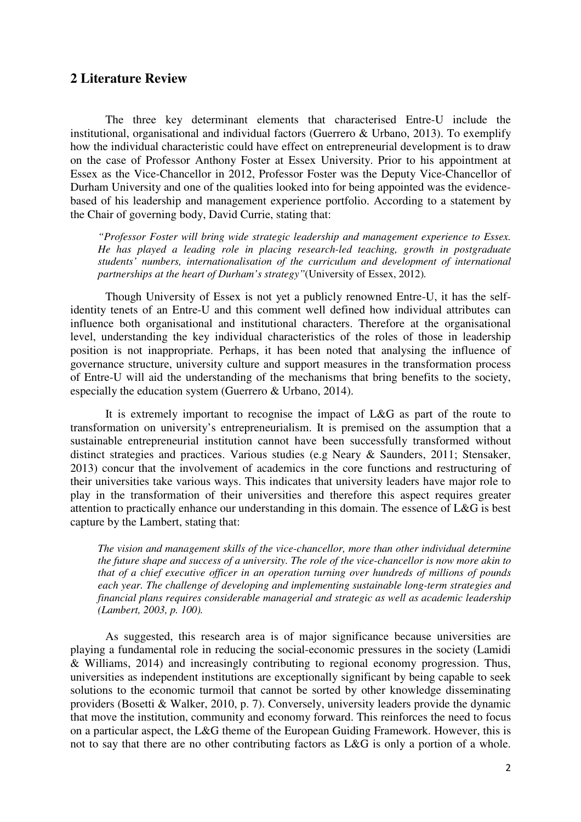## **2 Literature Review**

The three key determinant elements that characterised Entre-U include the institutional, organisational and individual factors (Guerrero & Urbano, 2013). To exemplify how the individual characteristic could have effect on entrepreneurial development is to draw on the case of Professor Anthony Foster at Essex University. Prior to his appointment at Essex as the Vice-Chancellor in 2012, Professor Foster was the Deputy Vice-Chancellor of Durham University and one of the qualities looked into for being appointed was the evidencebased of his leadership and management experience portfolio. According to a statement by the Chair of governing body, David Currie, stating that:

*"Professor Foster will bring wide strategic leadership and management experience to Essex. He has played a leading role in placing research-led teaching, growth in postgraduate students' numbers, internationalisation of the curriculum and development of international partnerships at the heart of Durham's strategy"*(University of Essex, 2012)*.* 

Though University of Essex is not yet a publicly renowned Entre-U, it has the selfidentity tenets of an Entre-U and this comment well defined how individual attributes can influence both organisational and institutional characters. Therefore at the organisational level, understanding the key individual characteristics of the roles of those in leadership position is not inappropriate. Perhaps, it has been noted that analysing the influence of governance structure, university culture and support measures in the transformation process of Entre-U will aid the understanding of the mechanisms that bring benefits to the society, especially the education system (Guerrero & Urbano, 2014).

It is extremely important to recognise the impact of L&G as part of the route to transformation on university's entrepreneurialism. It is premised on the assumption that a sustainable entrepreneurial institution cannot have been successfully transformed without distinct strategies and practices. Various studies (e.g Neary & Saunders, 2011; Stensaker, 2013) concur that the involvement of academics in the core functions and restructuring of their universities take various ways. This indicates that university leaders have major role to play in the transformation of their universities and therefore this aspect requires greater attention to practically enhance our understanding in this domain. The essence of L&G is best capture by the Lambert, stating that:

*The vision and management skills of the vice-chancellor, more than other individual determine the future shape and success of a university. The role of the vice-chancellor is now more akin to that of a chief executive officer in an operation turning over hundreds of millions of pounds each year. The challenge of developing and implementing sustainable long-term strategies and financial plans requires considerable managerial and strategic as well as academic leadership (Lambert, 2003, p. 100).* 

As suggested, this research area is of major significance because universities are playing a fundamental role in reducing the social-economic pressures in the society (Lamidi & Williams, 2014) and increasingly contributing to regional economy progression. Thus, universities as independent institutions are exceptionally significant by being capable to seek solutions to the economic turmoil that cannot be sorted by other knowledge disseminating providers (Bosetti & Walker, 2010, p. 7). Conversely, university leaders provide the dynamic that move the institution, community and economy forward. This reinforces the need to focus on a particular aspect, the L&G theme of the European Guiding Framework. However, this is not to say that there are no other contributing factors as L&G is only a portion of a whole.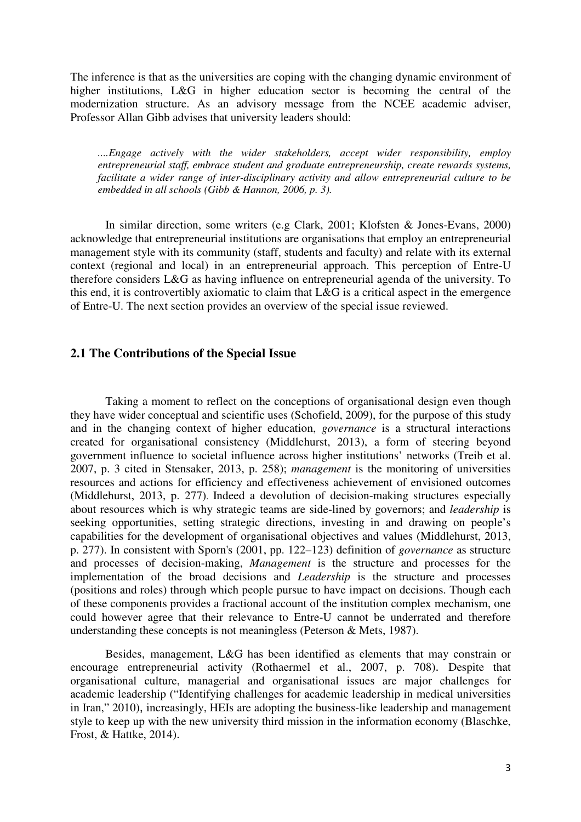The inference is that as the universities are coping with the changing dynamic environment of higher institutions, L&G in higher education sector is becoming the central of the modernization structure. As an advisory message from the NCEE academic adviser, Professor Allan Gibb advises that university leaders should:

*....Engage actively with the wider stakeholders, accept wider responsibility, employ entrepreneurial staff, embrace student and graduate entrepreneurship, create rewards systems, facilitate a wider range of inter-disciplinary activity and allow entrepreneurial culture to be embedded in all schools (Gibb & Hannon, 2006, p. 3).* 

In similar direction, some writers (e.g Clark, 2001; Klofsten & Jones-Evans, 2000) acknowledge that entrepreneurial institutions are organisations that employ an entrepreneurial management style with its community (staff, students and faculty) and relate with its external context (regional and local) in an entrepreneurial approach. This perception of Entre-U therefore considers L&G as having influence on entrepreneurial agenda of the university. To this end, it is controvertibly axiomatic to claim that L&G is a critical aspect in the emergence of Entre-U. The next section provides an overview of the special issue reviewed.

### **2.1 The Contributions of the Special Issue**

Taking a moment to reflect on the conceptions of organisational design even though they have wider conceptual and scientific uses (Schofield, 2009), for the purpose of this study and in the changing context of higher education, *governance* is a structural interactions created for organisational consistency (Middlehurst, 2013), a form of steering beyond government influence to societal influence across higher institutions' networks (Treib et al. 2007, p. 3 cited in Stensaker, 2013, p. 258); *management* is the monitoring of universities resources and actions for efficiency and effectiveness achievement of envisioned outcomes (Middlehurst, 2013, p. 277). Indeed a devolution of decision-making structures especially about resources which is why strategic teams are side-lined by governors; and *leadership* is seeking opportunities, setting strategic directions, investing in and drawing on people's capabilities for the development of organisational objectives and values (Middlehurst, 2013, p. 277). In consistent with Sporn's (2001, pp. 122–123) definition of *governance* as structure and processes of decision-making, *Management* is the structure and processes for the implementation of the broad decisions and *Leadership* is the structure and processes (positions and roles) through which people pursue to have impact on decisions. Though each of these components provides a fractional account of the institution complex mechanism, one could however agree that their relevance to Entre-U cannot be underrated and therefore understanding these concepts is not meaningless (Peterson & Mets, 1987).

Besides, management, L&G has been identified as elements that may constrain or encourage entrepreneurial activity (Rothaermel et al., 2007, p. 708). Despite that organisational culture, managerial and organisational issues are major challenges for academic leadership ("Identifying challenges for academic leadership in medical universities in Iran," 2010), increasingly, HEIs are adopting the business-like leadership and management style to keep up with the new university third mission in the information economy (Blaschke, Frost, & Hattke, 2014).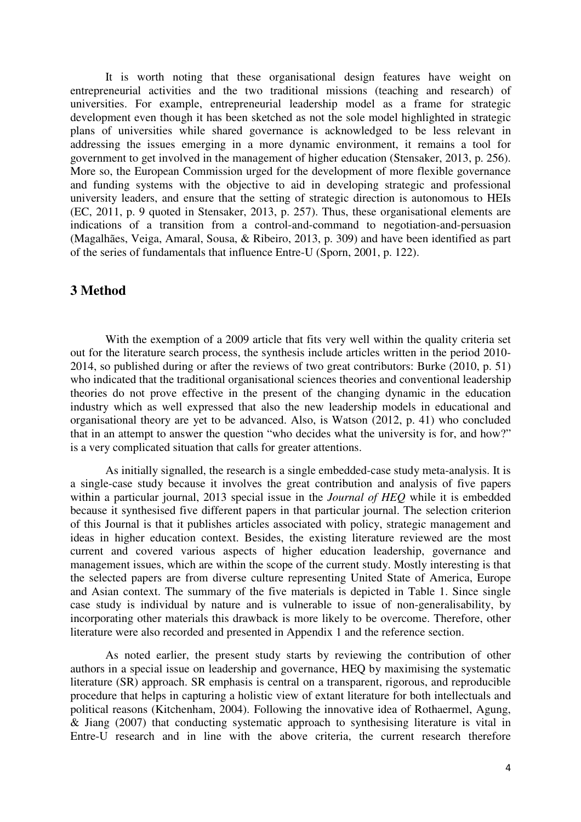It is worth noting that these organisational design features have weight on entrepreneurial activities and the two traditional missions (teaching and research) of universities. For example, entrepreneurial leadership model as a frame for strategic development even though it has been sketched as not the sole model highlighted in strategic plans of universities while shared governance is acknowledged to be less relevant in addressing the issues emerging in a more dynamic environment, it remains a tool for government to get involved in the management of higher education (Stensaker, 2013, p. 256). More so, the European Commission urged for the development of more flexible governance and funding systems with the objective to aid in developing strategic and professional university leaders, and ensure that the setting of strategic direction is autonomous to HEIs (EC, 2011, p. 9 quoted in Stensaker, 2013, p. 257). Thus, these organisational elements are indications of a transition from a control-and-command to negotiation-and-persuasion (Magalhães, Veiga, Amaral, Sousa, & Ribeiro, 2013, p. 309) and have been identified as part of the series of fundamentals that influence Entre-U (Sporn, 2001, p. 122).

# **3 Method**

With the exemption of a 2009 article that fits very well within the quality criteria set out for the literature search process, the synthesis include articles written in the period 2010- 2014, so published during or after the reviews of two great contributors: Burke (2010, p. 51) who indicated that the traditional organisational sciences theories and conventional leadership theories do not prove effective in the present of the changing dynamic in the education industry which as well expressed that also the new leadership models in educational and organisational theory are yet to be advanced. Also, is Watson (2012, p. 41) who concluded that in an attempt to answer the question "who decides what the university is for, and how?" is a very complicated situation that calls for greater attentions.

As initially signalled, the research is a single embedded-case study meta-analysis. It is a single-case study because it involves the great contribution and analysis of five papers within a particular journal, 2013 special issue in the *Journal of HEQ* while it is embedded because it synthesised five different papers in that particular journal. The selection criterion of this Journal is that it publishes articles associated with policy, strategic management and ideas in higher education context. Besides, the existing literature reviewed are the most current and covered various aspects of higher education leadership, governance and management issues, which are within the scope of the current study. Mostly interesting is that the selected papers are from diverse culture representing United State of America, Europe and Asian context. The summary of the five materials is depicted in Table 1. Since single case study is individual by nature and is vulnerable to issue of non-generalisability, by incorporating other materials this drawback is more likely to be overcome. Therefore, other literature were also recorded and presented in Appendix 1 and the reference section.

As noted earlier, the present study starts by reviewing the contribution of other authors in a special issue on leadership and governance, HEQ by maximising the systematic literature (SR) approach. SR emphasis is central on a transparent, rigorous, and reproducible procedure that helps in capturing a holistic view of extant literature for both intellectuals and political reasons (Kitchenham, 2004). Following the innovative idea of Rothaermel, Agung, & Jiang (2007) that conducting systematic approach to synthesising literature is vital in Entre-U research and in line with the above criteria, the current research therefore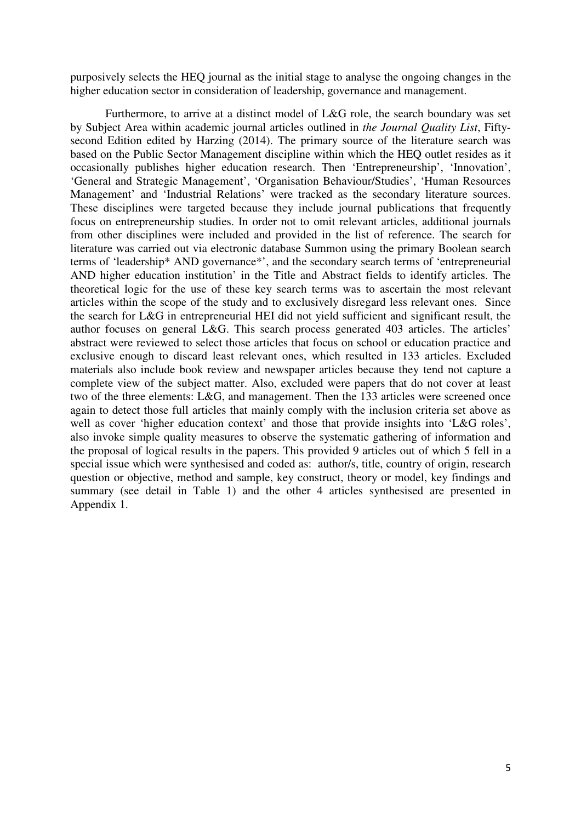purposively selects the HEQ journal as the initial stage to analyse the ongoing changes in the higher education sector in consideration of leadership, governance and management.

Furthermore, to arrive at a distinct model of L&G role, the search boundary was set by Subject Area within academic journal articles outlined in *the Journal Quality List*, Fiftysecond Edition edited by Harzing (2014). The primary source of the literature search was based on the Public Sector Management discipline within which the HEQ outlet resides as it occasionally publishes higher education research. Then 'Entrepreneurship', 'Innovation', 'General and Strategic Management', 'Organisation Behaviour/Studies', 'Human Resources Management' and 'Industrial Relations' were tracked as the secondary literature sources. These disciplines were targeted because they include journal publications that frequently focus on entrepreneurship studies. In order not to omit relevant articles, additional journals from other disciplines were included and provided in the list of reference. The search for literature was carried out via electronic database Summon using the primary Boolean search terms of 'leadership\* AND governance\*', and the secondary search terms of 'entrepreneurial AND higher education institution' in the Title and Abstract fields to identify articles. The theoretical logic for the use of these key search terms was to ascertain the most relevant articles within the scope of the study and to exclusively disregard less relevant ones. Since the search for L&G in entrepreneurial HEI did not yield sufficient and significant result, the author focuses on general L&G. This search process generated 403 articles. The articles' abstract were reviewed to select those articles that focus on school or education practice and exclusive enough to discard least relevant ones, which resulted in 133 articles. Excluded materials also include book review and newspaper articles because they tend not capture a complete view of the subject matter. Also, excluded were papers that do not cover at least two of the three elements: L&G, and management. Then the 133 articles were screened once again to detect those full articles that mainly comply with the inclusion criteria set above as well as cover 'higher education context' and those that provide insights into 'L&G roles', also invoke simple quality measures to observe the systematic gathering of information and the proposal of logical results in the papers. This provided 9 articles out of which 5 fell in a special issue which were synthesised and coded as: author/s, title, country of origin, research question or objective, method and sample, key construct, theory or model, key findings and summary (see detail in Table 1) and the other 4 articles synthesised are presented in Appendix 1.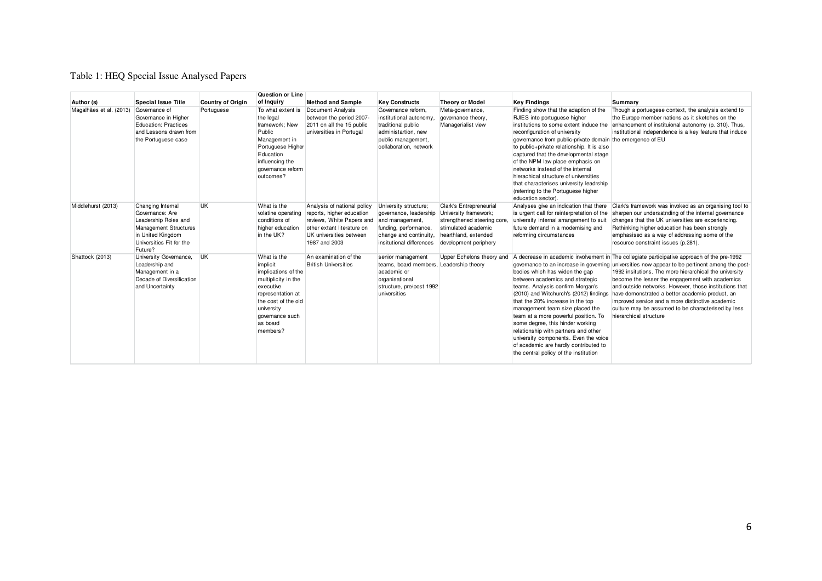### Table 1: HEQ Special Issue Analysed Papers

|                         |                                                                                                                                                   | Question or Line         |                                                                                                                                                                                         |                                                                                                                                                                 |                                                                                                                                                   |                                                                                                                                                         |                                                                                                                                                                                                                                                                                                                                                                                                                                                                                                                               |                                                                                                                                                                                                                                                                                                                                                                                                                                                                                                                                                             |
|-------------------------|---------------------------------------------------------------------------------------------------------------------------------------------------|--------------------------|-----------------------------------------------------------------------------------------------------------------------------------------------------------------------------------------|-----------------------------------------------------------------------------------------------------------------------------------------------------------------|---------------------------------------------------------------------------------------------------------------------------------------------------|---------------------------------------------------------------------------------------------------------------------------------------------------------|-------------------------------------------------------------------------------------------------------------------------------------------------------------------------------------------------------------------------------------------------------------------------------------------------------------------------------------------------------------------------------------------------------------------------------------------------------------------------------------------------------------------------------|-------------------------------------------------------------------------------------------------------------------------------------------------------------------------------------------------------------------------------------------------------------------------------------------------------------------------------------------------------------------------------------------------------------------------------------------------------------------------------------------------------------------------------------------------------------|
| Author (s)              | Special Issue Title                                                                                                                               | <b>Country of Origin</b> | of Inquiry                                                                                                                                                                              | <b>Method and Sample</b>                                                                                                                                        | <b>Key Constructs</b>                                                                                                                             | <b>Theory or Model</b>                                                                                                                                  | <b>Key Findings</b>                                                                                                                                                                                                                                                                                                                                                                                                                                                                                                           | Summary                                                                                                                                                                                                                                                                                                                                                                                                                                                                                                                                                     |
| Magalhães et al. (2013) | Governance of<br>Governance in Higher<br>Education: Practices<br>and Lessons drawn from<br>the Portuguese case                                    | Portuguese               | To what extent is<br>the legal<br>framework: New<br>Public<br>Management in<br>Portuguese Higher<br>Education<br>influencing the<br>governance reform<br>outcomes?                      | Document Analysis<br>between the period 2007-<br>2011 on all the 15 public<br>universities in Portugal                                                          | Governance reform.<br>institutional autonomy.<br>traditional public<br>administartion, new<br>public management,<br>collaboration, network        | Meta-governance,<br>governance theory,<br>Managerialist view                                                                                            | Finding show that the adaption of the<br>RJIES into portuguese higher<br>institutions to some extent induce the<br>reconfiguration of university<br>govremance from public-private domain the emergence of EU<br>to public+private relationship. It is also<br>captured that the developmental stage<br>of the NPM law place emphasis on<br>networks instead of the internal<br>hierachical structure of universities<br>that characterises university leadrship<br>(referring to the Portuguese higher<br>education sector). | Though a portuegese context, the analysis extend to<br>the Europe member nations as it sketches on the<br>enhancement of instituional autonomy (p. 310). Thus,<br>institutional independence is a key feature that induce                                                                                                                                                                                                                                                                                                                                   |
| Middlehurst (2013)      | Changing Internal<br>Governance: Are<br>Leadership Roles and<br>Management Structures<br>in United Kingdom<br>Universities Fit for the<br>Future? | <b>UK</b>                | What is the<br>volatine operating<br>conditions of<br>higher education<br>in the UK?                                                                                                    | Analysis of national policy<br>reports, higher education<br>reviews, White Papers and<br>other extant literature on<br>UK universities between<br>1987 and 2003 | University structure;<br>governance, leadership<br>and management,<br>funding, performance,<br>change and continuity.<br>insitutional differences | Clark's Entrepreneurial<br>University framework;<br>strengthened steering core.<br>stimulated academic<br>hearthland, extended<br>development periphery | Analyses give an indication that there<br>is urgent call for reinterpretation of the<br>university internal arrangement to suit<br>future demand in a modernising and<br>reforming circumstances                                                                                                                                                                                                                                                                                                                              | Clark's framework was invoked as an organising tool to<br>sharpen our undersatnding of the internal governance<br>changes that the UK universities are experiencing.<br>Rethinking higher education has been strongly<br>emphasised as a way of addressing some of the<br>resource constraint issues (p.281).                                                                                                                                                                                                                                               |
| Shattock (2013)         | University Governance,<br>Leadership and<br>Management in a<br>Decade of Diversification<br>and Uncertainty                                       | <b>UK</b>                | What is the<br>implicit<br>implications of the<br>multiplicity in the<br>executive<br>representation at<br>the cost of the old<br>university<br>governance such<br>as board<br>members? | An examination of the<br><b>British Universities</b>                                                                                                            | senior management<br>teams, board members, Leadership theory<br>academic or<br>organisational<br>structure, pre/post 1992<br>universities         | Upper Echelons theory and                                                                                                                               | bodies which has widen the gap<br>between academics and strategic<br>teams. Analysis confirm Morgan's<br>(2010) and Witchurch's (2012) findings<br>that the 20% increase in the top<br>management team size placed the<br>team at a more powerful position. To<br>some degree, this hinder working<br>relationship with partners and other<br>university components. Even the voice<br>of academic are hardly contributed to<br>the central policy of the institution                                                         | A decrease in academic involvement in The collegiate participative approach of the pre-1992<br>governance to an increase in governing universities now appear to be pertinent among the post-<br>1992 insitutions. The more hierarchical the university<br>become the lesser the engagement with academics<br>and outside networks. However, those institutions that<br>have demonstrated a better academic product, an<br>improved service and a more distinctive academic<br>culture may be assumed to be characterised by less<br>hierarchical structure |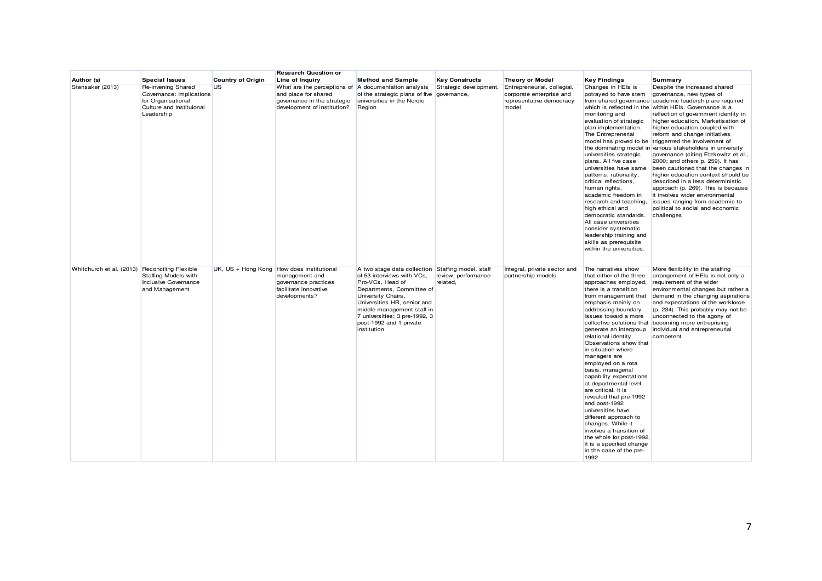|                                               |                                                                                                                |                          | <b>Research Question or</b>                                                                                                                |                                                                                                                                                                                                                                                                          |                                                           |                                                                                              |                                                                                                                                                                                                                                                                                                                                                                                                                                                                                                                                                                                                                                                                                                         |                                                                                                                                                                                                                                                                                                                                                                                                                                                                                                                                                                                                                                                                                                                                                                                                                 |
|-----------------------------------------------|----------------------------------------------------------------------------------------------------------------|--------------------------|--------------------------------------------------------------------------------------------------------------------------------------------|--------------------------------------------------------------------------------------------------------------------------------------------------------------------------------------------------------------------------------------------------------------------------|-----------------------------------------------------------|----------------------------------------------------------------------------------------------|---------------------------------------------------------------------------------------------------------------------------------------------------------------------------------------------------------------------------------------------------------------------------------------------------------------------------------------------------------------------------------------------------------------------------------------------------------------------------------------------------------------------------------------------------------------------------------------------------------------------------------------------------------------------------------------------------------|-----------------------------------------------------------------------------------------------------------------------------------------------------------------------------------------------------------------------------------------------------------------------------------------------------------------------------------------------------------------------------------------------------------------------------------------------------------------------------------------------------------------------------------------------------------------------------------------------------------------------------------------------------------------------------------------------------------------------------------------------------------------------------------------------------------------|
| Author (s)                                    | <b>Special Issues</b>                                                                                          | <b>Country of Origin</b> | Line of Inquiry                                                                                                                            | <b>Method and Sample</b>                                                                                                                                                                                                                                                 | <b>Key Constructs</b>                                     | <b>Theory or Model</b>                                                                       | <b>Key Findings</b>                                                                                                                                                                                                                                                                                                                                                                                                                                                                                                                                                                                                                                                                                     | Summary                                                                                                                                                                                                                                                                                                                                                                                                                                                                                                                                                                                                                                                                                                                                                                                                         |
| Stensaker (2013)                              | Re-invening Shared<br>Governance: Implications<br>for Organisational<br>Culture and Instituional<br>Leadership | US.                      | What are the perceptions of A documentation analysis<br>and place for shared<br>governance in the strategic<br>development of institution? | of the strategic plans of five governance,<br>universities in the Nordic<br>Region                                                                                                                                                                                       | Strategic development,                                    | Entrepreneurial, collegial,<br>corporate enterprise and<br>representative democracy<br>model | Changes in HEIs is<br>potrayed to have stem<br>monitoring and<br>evaluation of strategic<br>plan implementation.<br>The Entreprenerial<br>universities strategic<br>plans. All five case<br>universities have same<br>patterns; rationality,<br>critical reflections,<br>human rights,<br>academic freedom in<br>research and teaching.<br>high ethical and<br>democratic standards.<br>All case universities<br>consider systematic<br>leadership training and<br>skills as prerequisite<br>within the universities.                                                                                                                                                                                   | Despite the increased shared<br>governance, new types of<br>from shared governance academic leadership are required<br>which is reflected in the within HEIs. Governance is a<br>reflection of government identity in<br>higher education. Marketisation of<br>higher education coupled with<br>reform and change initiatives<br>model has proved to be triggerrred the involvement of<br>the dominating model in various stakeholders in university<br>governance (citing Etzkowitz et al.,<br>2000; and others p. 259). It has<br>been cautioned that the changes in<br>higher education context should be<br>described in a less deterministic<br>approach (p. 269). This is because<br>it involves wider environmental<br>issues ranging from academic to<br>political to social and economic<br>challenges |
| Whitchurch et al. (2013) Reconciling Flexible | Staffing Models with<br>Inclusive Governance<br>and Management                                                 |                          | UK, US + Hong Kong How does institutional<br>management and<br>governance practices<br>facilitate innovative<br>developments?              | A two stage data collection<br>of 53 interviews with VCs,<br>Pro-VCs, Head of<br>Departments, Committee of<br>University Chairs,<br>Universities HR, senior and<br>middle management staff in<br>7 universities; 3 pre-1992, 3<br>post-1992 and 1 private<br>institution | Staffing model, staff<br>review, performance-<br>related, | Integral, private sector and<br>partnership models                                           | The narratives show<br>that either of the three<br>approaches employed,<br>there is a transition<br>from management that<br>emphasis mainly on<br>addressing boundary<br>issues toward a more<br>collective solutions that<br>generate an intergroup<br>relational identity.<br>Observations show that<br>in situation where<br>managers are<br>employed on a rota<br>basis, managerial<br>capability expectations<br>at departmental level<br>are critical. It is<br>revealed that pre-1992<br>and post-1992<br>universities have<br>different approach to<br>changes. While it<br>involves a transition of<br>the whole for post-1992,<br>it is a specified change<br>in the case of the pre-<br>1992 | More flexibility in the staffing<br>arrangement of HEIs is not only a<br>requirement of the wider<br>environmental changes but rather a<br>demand in the changing aspirations<br>and expectations of the workforce<br>(p. 234). This probably may not be<br>unconnected to the agony of<br>becoming more entreprising<br>individual and entrepreneurial<br>competent                                                                                                                                                                                                                                                                                                                                                                                                                                            |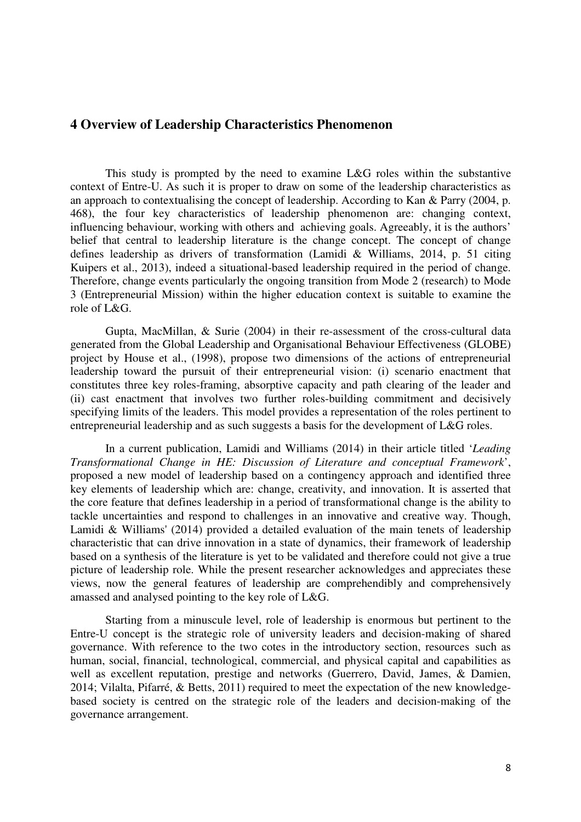# **4 Overview of Leadership Characteristics Phenomenon**

This study is prompted by the need to examine L&G roles within the substantive context of Entre-U. As such it is proper to draw on some of the leadership characteristics as an approach to contextualising the concept of leadership. According to Kan & Parry (2004, p. 468), the four key characteristics of leadership phenomenon are: changing context, influencing behaviour, working with others and achieving goals. Agreeably, it is the authors' belief that central to leadership literature is the change concept. The concept of change defines leadership as drivers of transformation (Lamidi & Williams, 2014, p. 51 citing Kuipers et al., 2013), indeed a situational-based leadership required in the period of change. Therefore, change events particularly the ongoing transition from Mode 2 (research) to Mode 3 (Entrepreneurial Mission) within the higher education context is suitable to examine the role of L&G.

Gupta, MacMillan, & Surie (2004) in their re-assessment of the cross-cultural data generated from the Global Leadership and Organisational Behaviour Effectiveness (GLOBE) project by House et al., (1998), propose two dimensions of the actions of entrepreneurial leadership toward the pursuit of their entrepreneurial vision: (i) scenario enactment that constitutes three key roles-framing, absorptive capacity and path clearing of the leader and (ii) cast enactment that involves two further roles-building commitment and decisively specifying limits of the leaders. This model provides a representation of the roles pertinent to entrepreneurial leadership and as such suggests a basis for the development of L&G roles.

In a current publication, Lamidi and Williams (2014) in their article titled '*Leading Transformational Change in HE: Discussion of Literature and conceptual Framework*', proposed a new model of leadership based on a contingency approach and identified three key elements of leadership which are: change, creativity, and innovation. It is asserted that the core feature that defines leadership in a period of transformational change is the ability to tackle uncertainties and respond to challenges in an innovative and creative way. Though, Lamidi & Williams' (2014) provided a detailed evaluation of the main tenets of leadership characteristic that can drive innovation in a state of dynamics, their framework of leadership based on a synthesis of the literature is yet to be validated and therefore could not give a true picture of leadership role. While the present researcher acknowledges and appreciates these views, now the general features of leadership are comprehendibly and comprehensively amassed and analysed pointing to the key role of L&G.

Starting from a minuscule level, role of leadership is enormous but pertinent to the Entre-U concept is the strategic role of university leaders and decision-making of shared governance. With reference to the two cotes in the introductory section, resources such as human, social, financial, technological, commercial, and physical capital and capabilities as well as excellent reputation, prestige and networks (Guerrero, David, James, & Damien, 2014; Vilalta, Pifarré, & Betts, 2011) required to meet the expectation of the new knowledgebased society is centred on the strategic role of the leaders and decision-making of the governance arrangement.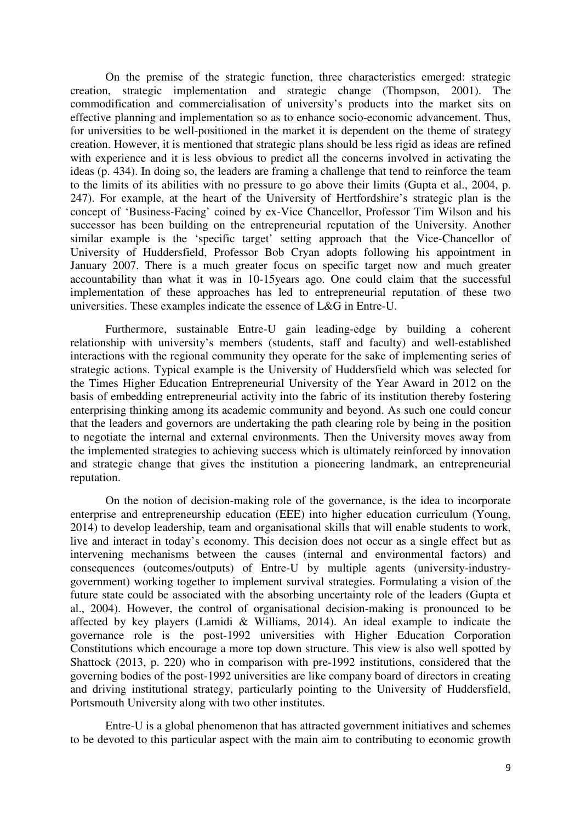On the premise of the strategic function, three characteristics emerged: strategic creation, strategic implementation and strategic change (Thompson, 2001). The commodification and commercialisation of university's products into the market sits on effective planning and implementation so as to enhance socio-economic advancement. Thus, for universities to be well-positioned in the market it is dependent on the theme of strategy creation. However, it is mentioned that strategic plans should be less rigid as ideas are refined with experience and it is less obvious to predict all the concerns involved in activating the ideas (p. 434). In doing so, the leaders are framing a challenge that tend to reinforce the team to the limits of its abilities with no pressure to go above their limits (Gupta et al., 2004, p. 247). For example, at the heart of the University of Hertfordshire's strategic plan is the concept of 'Business-Facing' coined by ex-Vice Chancellor, Professor Tim Wilson and his successor has been building on the entrepreneurial reputation of the University. Another similar example is the 'specific target' setting approach that the Vice-Chancellor of University of Huddersfield, Professor Bob Cryan adopts following his appointment in January 2007. There is a much greater focus on specific target now and much greater accountability than what it was in 10-15years ago. One could claim that the successful implementation of these approaches has led to entrepreneurial reputation of these two universities. These examples indicate the essence of L&G in Entre-U.

Furthermore, sustainable Entre-U gain leading-edge by building a coherent relationship with university's members (students, staff and faculty) and well-established interactions with the regional community they operate for the sake of implementing series of strategic actions. Typical example is the University of Huddersfield which was selected for the Times Higher Education Entrepreneurial University of the Year Award in 2012 on the basis of embedding entrepreneurial activity into the fabric of its institution thereby fostering enterprising thinking among its academic community and beyond. As such one could concur that the leaders and governors are undertaking the path clearing role by being in the position to negotiate the internal and external environments. Then the University moves away from the implemented strategies to achieving success which is ultimately reinforced by innovation and strategic change that gives the institution a pioneering landmark, an entrepreneurial reputation.

On the notion of decision-making role of the governance, is the idea to incorporate enterprise and entrepreneurship education (EEE) into higher education curriculum (Young, 2014) to develop leadership, team and organisational skills that will enable students to work, live and interact in today's economy. This decision does not occur as a single effect but as intervening mechanisms between the causes (internal and environmental factors) and consequences (outcomes/outputs) of Entre-U by multiple agents (university-industrygovernment) working together to implement survival strategies. Formulating a vision of the future state could be associated with the absorbing uncertainty role of the leaders (Gupta et al., 2004). However, the control of organisational decision-making is pronounced to be affected by key players (Lamidi & Williams, 2014). An ideal example to indicate the governance role is the post-1992 universities with Higher Education Corporation Constitutions which encourage a more top down structure. This view is also well spotted by Shattock (2013, p. 220) who in comparison with pre-1992 institutions, considered that the governing bodies of the post-1992 universities are like company board of directors in creating and driving institutional strategy, particularly pointing to the University of Huddersfield, Portsmouth University along with two other institutes.

Entre-U is a global phenomenon that has attracted government initiatives and schemes to be devoted to this particular aspect with the main aim to contributing to economic growth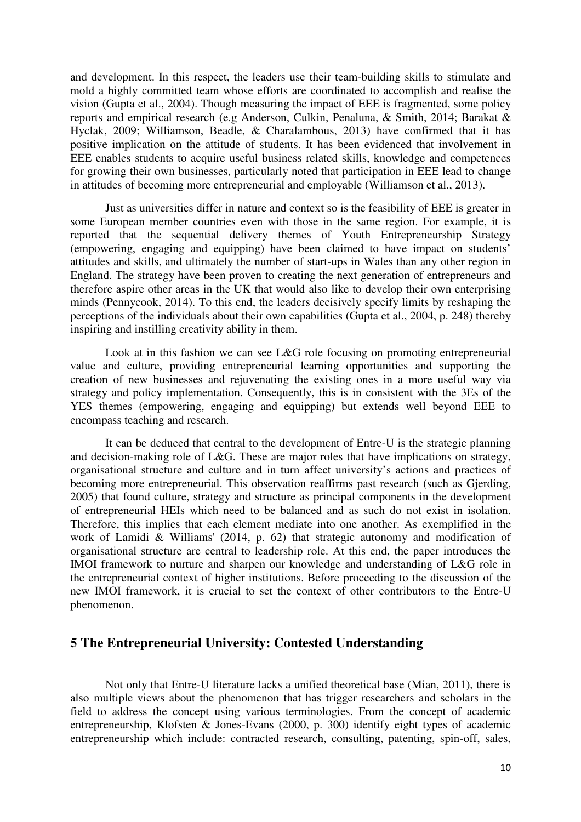and development. In this respect, the leaders use their team-building skills to stimulate and mold a highly committed team whose efforts are coordinated to accomplish and realise the vision (Gupta et al., 2004). Though measuring the impact of EEE is fragmented, some policy reports and empirical research (e.g Anderson, Culkin, Penaluna, & Smith, 2014; Barakat & Hyclak, 2009; Williamson, Beadle, & Charalambous, 2013) have confirmed that it has positive implication on the attitude of students. It has been evidenced that involvement in EEE enables students to acquire useful business related skills, knowledge and competences for growing their own businesses, particularly noted that participation in EEE lead to change in attitudes of becoming more entrepreneurial and employable (Williamson et al., 2013).

Just as universities differ in nature and context so is the feasibility of EEE is greater in some European member countries even with those in the same region. For example, it is reported that the sequential delivery themes of Youth Entrepreneurship Strategy (empowering, engaging and equipping) have been claimed to have impact on students' attitudes and skills, and ultimately the number of start-ups in Wales than any other region in England. The strategy have been proven to creating the next generation of entrepreneurs and therefore aspire other areas in the UK that would also like to develop their own enterprising minds (Pennycook, 2014). To this end, the leaders decisively specify limits by reshaping the perceptions of the individuals about their own capabilities (Gupta et al., 2004, p. 248) thereby inspiring and instilling creativity ability in them.

Look at in this fashion we can see L&G role focusing on promoting entrepreneurial value and culture, providing entrepreneurial learning opportunities and supporting the creation of new businesses and rejuvenating the existing ones in a more useful way via strategy and policy implementation. Consequently, this is in consistent with the 3Es of the YES themes (empowering, engaging and equipping) but extends well beyond EEE to encompass teaching and research.

It can be deduced that central to the development of Entre-U is the strategic planning and decision-making role of L&G. These are major roles that have implications on strategy, organisational structure and culture and in turn affect university's actions and practices of becoming more entrepreneurial. This observation reaffirms past research (such as Gjerding, 2005) that found culture, strategy and structure as principal components in the development of entrepreneurial HEIs which need to be balanced and as such do not exist in isolation. Therefore, this implies that each element mediate into one another. As exemplified in the work of Lamidi & Williams' (2014, p. 62) that strategic autonomy and modification of organisational structure are central to leadership role. At this end, the paper introduces the IMOI framework to nurture and sharpen our knowledge and understanding of L&G role in the entrepreneurial context of higher institutions. Before proceeding to the discussion of the new IMOI framework, it is crucial to set the context of other contributors to the Entre-U phenomenon.

## **5 The Entrepreneurial University: Contested Understanding**

Not only that Entre-U literature lacks a unified theoretical base (Mian, 2011), there is also multiple views about the phenomenon that has trigger researchers and scholars in the field to address the concept using various terminologies. From the concept of academic entrepreneurship, Klofsten & Jones-Evans (2000, p. 300) identify eight types of academic entrepreneurship which include: contracted research, consulting, patenting, spin-off, sales,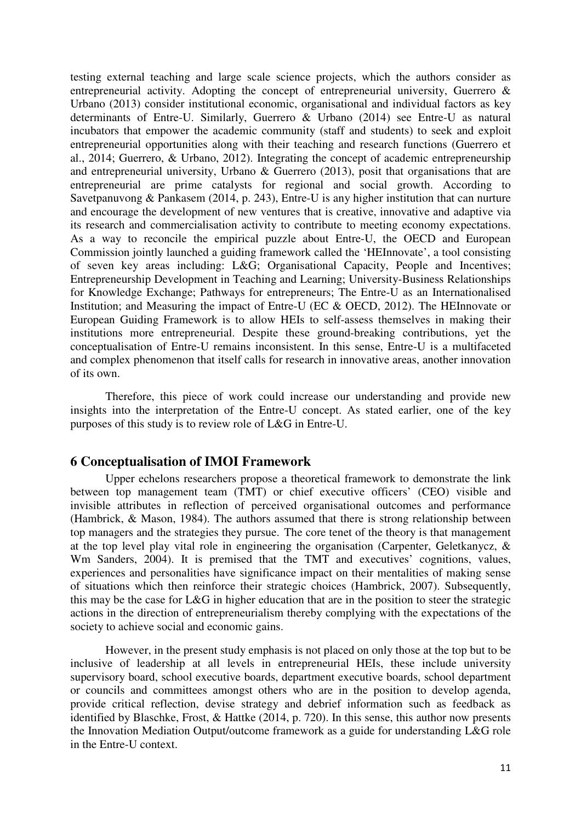testing external teaching and large scale science projects, which the authors consider as entrepreneurial activity. Adopting the concept of entrepreneurial university, Guerrero & Urbano (2013) consider institutional economic, organisational and individual factors as key determinants of Entre-U. Similarly, Guerrero & Urbano (2014) see Entre-U as natural incubators that empower the academic community (staff and students) to seek and exploit entrepreneurial opportunities along with their teaching and research functions (Guerrero et al., 2014; Guerrero, & Urbano, 2012). Integrating the concept of academic entrepreneurship and entrepreneurial university, Urbano & Guerrero (2013), posit that organisations that are entrepreneurial are prime catalysts for regional and social growth. According to Savetpanuvong & Pankasem (2014, p. 243), Entre-U is any higher institution that can nurture and encourage the development of new ventures that is creative, innovative and adaptive via its research and commercialisation activity to contribute to meeting economy expectations. As a way to reconcile the empirical puzzle about Entre-U, the OECD and European Commission jointly launched a guiding framework called the 'HEInnovate', a tool consisting of seven key areas including: L&G; Organisational Capacity, People and Incentives; Entrepreneurship Development in Teaching and Learning; University-Business Relationships for Knowledge Exchange; Pathways for entrepreneurs; The Entre-U as an Internationalised Institution; and Measuring the impact of Entre-U (EC & OECD, 2012). The HEInnovate or European Guiding Framework is to allow HEIs to self-assess themselves in making their institutions more entrepreneurial. Despite these ground-breaking contributions, yet the conceptualisation of Entre-U remains inconsistent. In this sense, Entre-U is a multifaceted and complex phenomenon that itself calls for research in innovative areas, another innovation of its own.

Therefore, this piece of work could increase our understanding and provide new insights into the interpretation of the Entre-U concept. As stated earlier, one of the key purposes of this study is to review role of L&G in Entre-U.

#### **6 Conceptualisation of IMOI Framework**

Upper echelons researchers propose a theoretical framework to demonstrate the link between top management team (TMT) or chief executive officers' (CEO) visible and invisible attributes in reflection of perceived organisational outcomes and performance (Hambrick, & Mason, 1984). The authors assumed that there is strong relationship between top managers and the strategies they pursue. The core tenet of the theory is that management at the top level play vital role in engineering the organisation (Carpenter, Geletkanycz, & Wm Sanders, 2004). It is premised that the TMT and executives' cognitions, values, experiences and personalities have significance impact on their mentalities of making sense of situations which then reinforce their strategic choices (Hambrick, 2007). Subsequently, this may be the case for L&G in higher education that are in the position to steer the strategic actions in the direction of entrepreneurialism thereby complying with the expectations of the society to achieve social and economic gains.

However, in the present study emphasis is not placed on only those at the top but to be inclusive of leadership at all levels in entrepreneurial HEIs, these include university supervisory board, school executive boards, department executive boards, school department or councils and committees amongst others who are in the position to develop agenda, provide critical reflection, devise strategy and debrief information such as feedback as identified by Blaschke, Frost, & Hattke (2014, p. 720). In this sense, this author now presents the Innovation Mediation Output/outcome framework as a guide for understanding L&G role in the Entre-U context.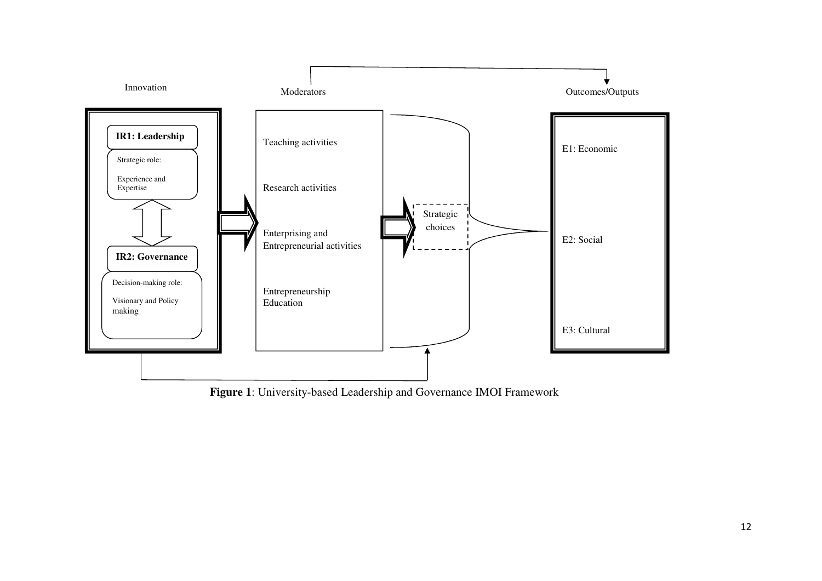

**Figure 1**: University-based Leadership and Governance IMOI Framework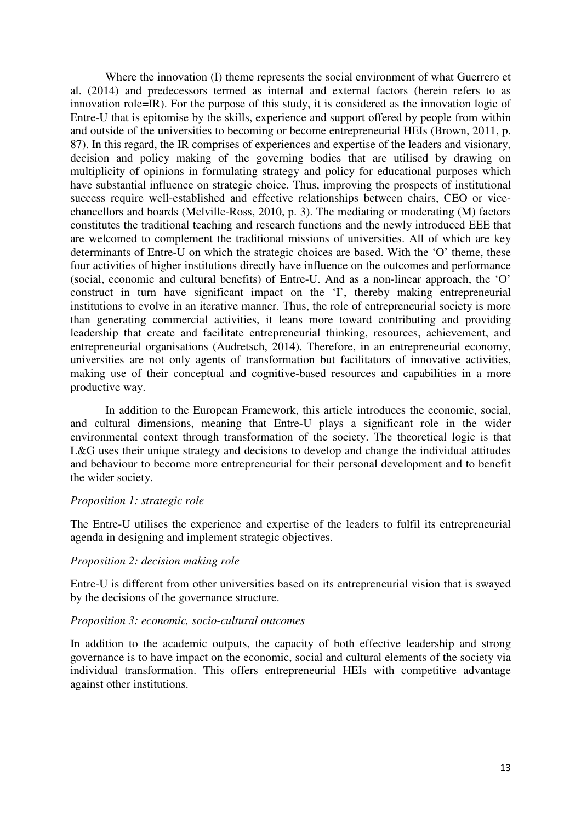Where the innovation (I) theme represents the social environment of what Guerrero et al. (2014) and predecessors termed as internal and external factors (herein refers to as innovation role=IR). For the purpose of this study, it is considered as the innovation logic of Entre-U that is epitomise by the skills, experience and support offered by people from within and outside of the universities to becoming or become entrepreneurial HEIs (Brown, 2011, p. 87). In this regard, the IR comprises of experiences and expertise of the leaders and visionary, decision and policy making of the governing bodies that are utilised by drawing on multiplicity of opinions in formulating strategy and policy for educational purposes which have substantial influence on strategic choice. Thus, improving the prospects of institutional success require well-established and effective relationships between chairs, CEO or vicechancellors and boards (Melville-Ross, 2010, p. 3). The mediating or moderating (M) factors constitutes the traditional teaching and research functions and the newly introduced EEE that are welcomed to complement the traditional missions of universities. All of which are key determinants of Entre-U on which the strategic choices are based. With the 'O' theme, these four activities of higher institutions directly have influence on the outcomes and performance (social, economic and cultural benefits) of Entre-U. And as a non-linear approach, the 'O' construct in turn have significant impact on the 'I', thereby making entrepreneurial institutions to evolve in an iterative manner. Thus, the role of entrepreneurial society is more than generating commercial activities, it leans more toward contributing and providing leadership that create and facilitate entrepreneurial thinking, resources, achievement, and entrepreneurial organisations (Audretsch, 2014). Therefore, in an entrepreneurial economy, universities are not only agents of transformation but facilitators of innovative activities, making use of their conceptual and cognitive-based resources and capabilities in a more productive way.

In addition to the European Framework, this article introduces the economic, social, and cultural dimensions, meaning that Entre-U plays a significant role in the wider environmental context through transformation of the society. The theoretical logic is that L&G uses their unique strategy and decisions to develop and change the individual attitudes and behaviour to become more entrepreneurial for their personal development and to benefit the wider society.

#### *Proposition 1: strategic role*

The Entre-U utilises the experience and expertise of the leaders to fulfil its entrepreneurial agenda in designing and implement strategic objectives.

#### *Proposition 2: decision making role*

Entre-U is different from other universities based on its entrepreneurial vision that is swayed by the decisions of the governance structure.

#### *Proposition 3: economic, socio-cultural outcomes*

In addition to the academic outputs, the capacity of both effective leadership and strong governance is to have impact on the economic, social and cultural elements of the society via individual transformation. This offers entrepreneurial HEIs with competitive advantage against other institutions.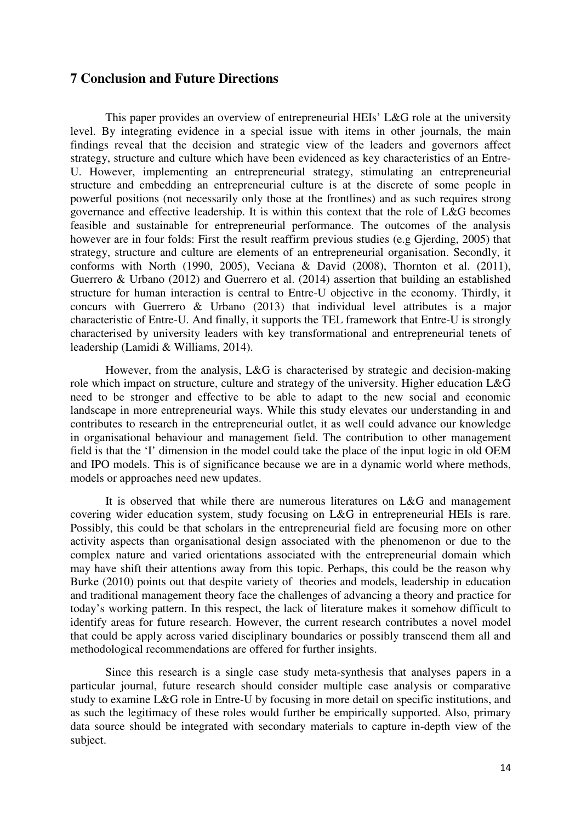## **7 Conclusion and Future Directions**

This paper provides an overview of entrepreneurial HEIs' L&G role at the university level. By integrating evidence in a special issue with items in other journals, the main findings reveal that the decision and strategic view of the leaders and governors affect strategy, structure and culture which have been evidenced as key characteristics of an Entre-U. However, implementing an entrepreneurial strategy, stimulating an entrepreneurial structure and embedding an entrepreneurial culture is at the discrete of some people in powerful positions (not necessarily only those at the frontlines) and as such requires strong governance and effective leadership. It is within this context that the role of L&G becomes feasible and sustainable for entrepreneurial performance. The outcomes of the analysis however are in four folds: First the result reaffirm previous studies (e.g Gjerding, 2005) that strategy, structure and culture are elements of an entrepreneurial organisation. Secondly, it conforms with North (1990, 2005), Veciana & David (2008), Thornton et al. (2011), Guerrero & Urbano (2012) and Guerrero et al. (2014) assertion that building an established structure for human interaction is central to Entre-U objective in the economy. Thirdly, it concurs with Guerrero & Urbano (2013) that individual level attributes is a major characteristic of Entre-U. And finally, it supports the TEL framework that Entre-U is strongly characterised by university leaders with key transformational and entrepreneurial tenets of leadership (Lamidi & Williams, 2014).

However, from the analysis, L&G is characterised by strategic and decision-making role which impact on structure, culture and strategy of the university. Higher education L&G need to be stronger and effective to be able to adapt to the new social and economic landscape in more entrepreneurial ways. While this study elevates our understanding in and contributes to research in the entrepreneurial outlet, it as well could advance our knowledge in organisational behaviour and management field. The contribution to other management field is that the 'I' dimension in the model could take the place of the input logic in old OEM and IPO models. This is of significance because we are in a dynamic world where methods, models or approaches need new updates.

It is observed that while there are numerous literatures on L&G and management covering wider education system, study focusing on L&G in entrepreneurial HEIs is rare. Possibly, this could be that scholars in the entrepreneurial field are focusing more on other activity aspects than organisational design associated with the phenomenon or due to the complex nature and varied orientations associated with the entrepreneurial domain which may have shift their attentions away from this topic. Perhaps, this could be the reason why Burke (2010) points out that despite variety of theories and models, leadership in education and traditional management theory face the challenges of advancing a theory and practice for today's working pattern. In this respect, the lack of literature makes it somehow difficult to identify areas for future research. However, the current research contributes a novel model that could be apply across varied disciplinary boundaries or possibly transcend them all and methodological recommendations are offered for further insights.

Since this research is a single case study meta-synthesis that analyses papers in a particular journal, future research should consider multiple case analysis or comparative study to examine L&G role in Entre-U by focusing in more detail on specific institutions, and as such the legitimacy of these roles would further be empirically supported. Also, primary data source should be integrated with secondary materials to capture in-depth view of the subject.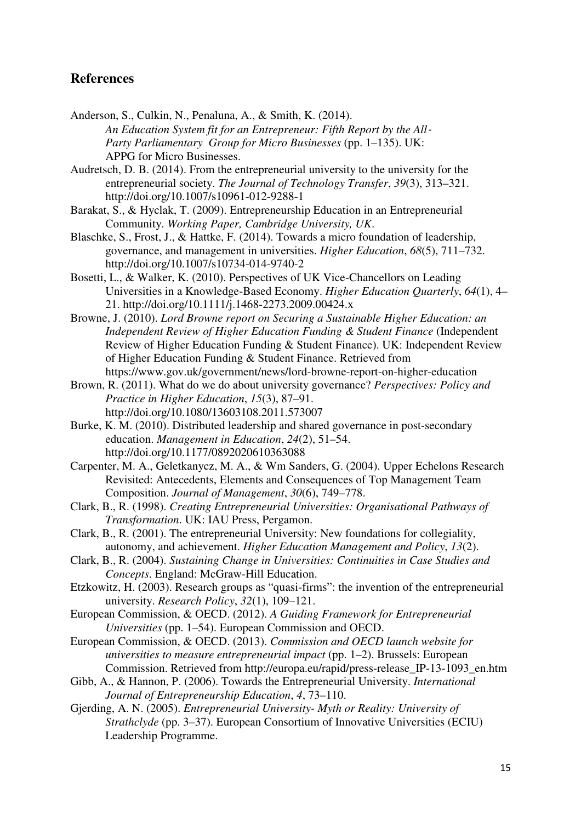# **References**

- Anderson, S., Culkin, N., Penaluna, A., & Smith, K. (2014). *An Education System fit for an Entrepreneur: Fifth Report by the All*‐ *Party Parliamentary Group for Micro Businesses* (pp. 1–135). UK: APPG for Micro Businesses.
- Audretsch, D. B. (2014). From the entrepreneurial university to the university for the entrepreneurial society. *The Journal of Technology Transfer*, *39*(3), 313–321. http://doi.org/10.1007/s10961-012-9288-1
- Barakat, S., & Hyclak, T. (2009). Entrepreneurship Education in an Entrepreneurial Community. *Working Paper, Cambridge University, UK*.
- Blaschke, S., Frost, J., & Hattke, F. (2014). Towards a micro foundation of leadership, governance, and management in universities. *Higher Education*, *68*(5), 711–732. http://doi.org/10.1007/s10734-014-9740-2
- Bosetti, L., & Walker, K. (2010). Perspectives of UK Vice-Chancellors on Leading Universities in a Knowledge-Based Economy. *Higher Education Quarterly*, *64*(1), 4– 21. http://doi.org/10.1111/j.1468-2273.2009.00424.x
- Browne, J. (2010). *Lord Browne report on Securing a Sustainable Higher Education: an Independent Review of Higher Education Funding & Student Finance* (Independent Review of Higher Education Funding & Student Finance). UK: Independent Review of Higher Education Funding & Student Finance. Retrieved from https://www.gov.uk/government/news/lord-browne-report-on-higher-education
- Brown, R. (2011). What do we do about university governance? *Perspectives: Policy and Practice in Higher Education*, *15*(3), 87–91. http://doi.org/10.1080/13603108.2011.573007
- Burke, K. M. (2010). Distributed leadership and shared governance in post-secondary education. *Management in Education*, *24*(2), 51–54. http://doi.org/10.1177/0892020610363088
- Carpenter, M. A., Geletkanycz, M. A., & Wm Sanders, G. (2004). Upper Echelons Research Revisited: Antecedents, Elements and Consequences of Top Management Team Composition. *Journal of Management*, *30*(6), 749–778.
- Clark, B., R. (1998). *Creating Entrepreneurial Universities: Organisational Pathways of Transformation*. UK: IAU Press, Pergamon.
- Clark, B., R. (2001). The entrepreneurial University: New foundations for collegiality, autonomy, and achievement. *Higher Education Management and Policy*, *13*(2).
- Clark, B., R. (2004). *Sustaining Change in Universities: Continuities in Case Studies and Concepts*. England: McGraw-Hill Education.
- Etzkowitz, H. (2003). Research groups as "quasi-firms": the invention of the entrepreneurial university. *Research Policy*, *32*(1), 109–121.
- European Commission, & OECD. (2012). *A Guiding Framework for Entrepreneurial Universities* (pp. 1–54). European Commission and OECD.
- European Commission, & OECD. (2013). *Commission and OECD launch website for universities to measure entrepreneurial impact* (pp. 1–2). Brussels: European Commission. Retrieved from http://europa.eu/rapid/press-release\_IP-13-1093\_en.htm
- Gibb, A., & Hannon, P. (2006). Towards the Entrepreneurial University. *International Journal of Entrepreneurship Education*, *4*, 73–110.
- Gjerding, A. N. (2005). *Entrepreneurial University- Myth or Reality: University of Strathclyde* (pp. 3–37). European Consortium of Innovative Universities (ECIU) Leadership Programme.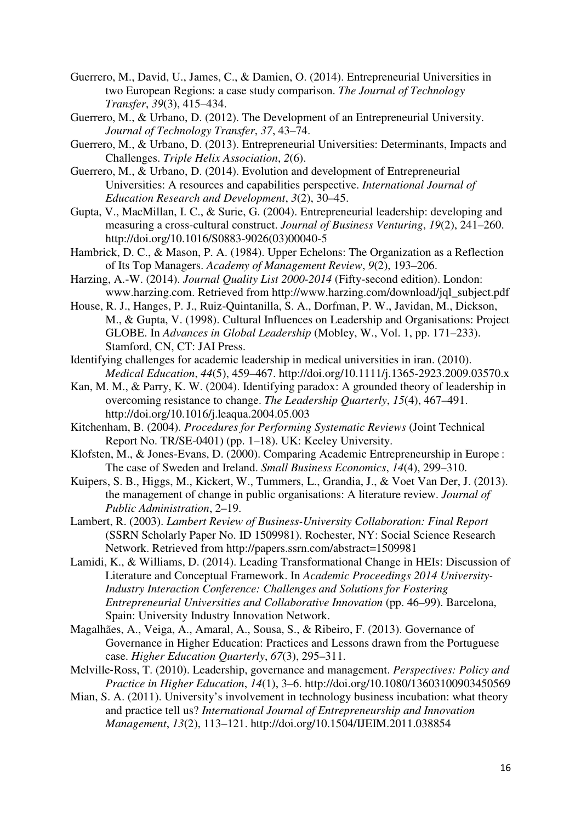- Guerrero, M., David, U., James, C., & Damien, O. (2014). Entrepreneurial Universities in two European Regions: a case study comparison. *The Journal of Technology Transfer*, *39*(3), 415–434.
- Guerrero, M., & Urbano, D. (2012). The Development of an Entrepreneurial University. *Journal of Technology Transfer*, *37*, 43–74.
- Guerrero, M., & Urbano, D. (2013). Entrepreneurial Universities: Determinants, Impacts and Challenges. *Triple Helix Association*, *2*(6).
- Guerrero, M., & Urbano, D. (2014). Evolution and development of Entrepreneurial Universities: A resources and capabilities perspective. *International Journal of Education Research and Development*, *3*(2), 30–45.
- Gupta, V., MacMillan, I. C., & Surie, G. (2004). Entrepreneurial leadership: developing and measuring a cross-cultural construct. *Journal of Business Venturing*, *19*(2), 241–260. http://doi.org/10.1016/S0883-9026(03)00040-5
- Hambrick, D. C., & Mason, P. A. (1984). Upper Echelons: The Organization as a Reflection of Its Top Managers. *Academy of Management Review*, *9*(2), 193–206.
- Harzing, A.-W. (2014). *Journal Quality List 2000-2014* (Fifty-second edition). London: www.harzing.com. Retrieved from http://www.harzing.com/download/jql\_subject.pdf
- House, R. J., Hanges, P. J., Ruiz-Quintanilla, S. A., Dorfman, P. W., Javidan, M., Dickson, M., & Gupta, V. (1998). Cultural Influences on Leadership and Organisations: Project GLOBE. In *Advances in Global Leadership* (Mobley, W., Vol. 1, pp. 171–233). Stamford, CN, CT: JAI Press.
- Identifying challenges for academic leadership in medical universities in iran. (2010). *Medical Education*, *44*(5), 459–467. http://doi.org/10.1111/j.1365-2923.2009.03570.x
- Kan, M. M., & Parry, K. W. (2004). Identifying paradox: A grounded theory of leadership in overcoming resistance to change. *The Leadership Quarterly*, *15*(4), 467–491. http://doi.org/10.1016/j.leaqua.2004.05.003
- Kitchenham, B. (2004). *Procedures for Performing Systematic Reviews* (Joint Technical Report No. TR/SE-0401) (pp. 1–18). UK: Keeley University.
- Klofsten, M., & Jones-Evans, D. (2000). Comparing Academic Entrepreneurship in Europe : The case of Sweden and Ireland. *Small Business Economics*, *14*(4), 299–310.
- Kuipers, S. B., Higgs, M., Kickert, W., Tummers, L., Grandia, J., & Voet Van Der, J. (2013). the management of change in public organisations: A literature review. *Journal of Public Administration*, 2–19.
- Lambert, R. (2003). *Lambert Review of Business-University Collaboration: Final Report* (SSRN Scholarly Paper No. ID 1509981). Rochester, NY: Social Science Research Network. Retrieved from http://papers.ssrn.com/abstract=1509981
- Lamidi, K., & Williams, D. (2014). Leading Transformational Change in HEIs: Discussion of Literature and Conceptual Framework. In *Academic Proceedings 2014 University-Industry Interaction Conference: Challenges and Solutions for Fostering Entrepreneurial Universities and Collaborative Innovation* (pp. 46–99). Barcelona, Spain: University Industry Innovation Network.
- Magalhães, A., Veiga, A., Amaral, A., Sousa, S., & Ribeiro, F. (2013). Governance of Governance in Higher Education: Practices and Lessons drawn from the Portuguese case. *Higher Education Quarterly*, *67*(3), 295–311.
- Melville‐Ross, T. (2010). Leadership, governance and management. *Perspectives: Policy and Practice in Higher Education*, *14*(1), 3–6. http://doi.org/10.1080/13603100903450569
- Mian, S. A. (2011). University's involvement in technology business incubation: what theory and practice tell us? *International Journal of Entrepreneurship and Innovation Management*, *13*(2), 113–121. http://doi.org/10.1504/IJEIM.2011.038854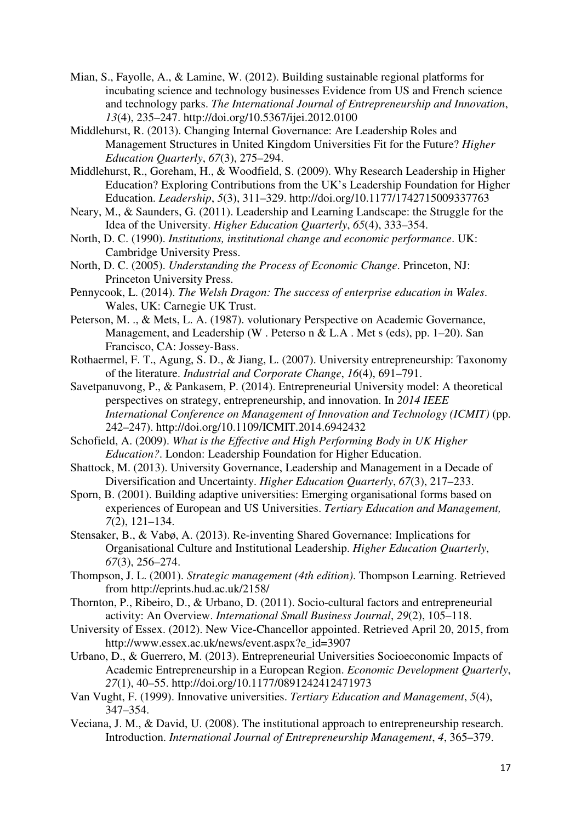- Mian, S., Fayolle, A., & Lamine, W. (2012). Building sustainable regional platforms for incubating science and technology businesses Evidence from US and French science and technology parks. *The International Journal of Entrepreneurship and Innovation*, *13*(4), 235–247. http://doi.org/10.5367/ijei.2012.0100
- Middlehurst, R. (2013). Changing Internal Governance: Are Leadership Roles and Management Structures in United Kingdom Universities Fit for the Future? *Higher Education Quarterly*, *67*(3), 275–294.
- Middlehurst, R., Goreham, H., & Woodfield, S. (2009). Why Research Leadership in Higher Education? Exploring Contributions from the UK's Leadership Foundation for Higher Education. *Leadership*, *5*(3), 311–329. http://doi.org/10.1177/1742715009337763
- Neary, M., & Saunders, G. (2011). Leadership and Learning Landscape: the Struggle for the Idea of the University. *Higher Education Quarterly*, *65*(4), 333–354.
- North, D. C. (1990). *Institutions, institutional change and economic performance*. UK: Cambridge University Press.
- North, D. C. (2005). *Understanding the Process of Economic Change*. Princeton, NJ: Princeton University Press.
- Pennycook, L. (2014). *The Welsh Dragon: The success of enterprise education in Wales*. Wales, UK: Carnegie UK Trust.
- Peterson, M. ., & Mets, L. A. (1987). volutionary Perspective on Academic Governance, Management, and Leadership (W . Peterso n & L.A . Met s (eds), pp. 1–20). San Francisco, CA: Jossey-Bass.
- Rothaermel, F. T., Agung, S. D., & Jiang, L. (2007). University entrepreneurship: Taxonomy of the literature. *Industrial and Corporate Change*, *16*(4), 691–791.
- Savetpanuvong, P., & Pankasem, P. (2014). Entrepreneurial University model: A theoretical perspectives on strategy, entrepreneurship, and innovation. In *2014 IEEE International Conference on Management of Innovation and Technology (ICMIT)* (pp. 242–247). http://doi.org/10.1109/ICMIT.2014.6942432
- Schofield, A. (2009). *What is the Effective and High Performing Body in UK Higher Education?*. London: Leadership Foundation for Higher Education.
- Shattock, M. (2013). University Governance, Leadership and Management in a Decade of Diversification and Uncertainty. *Higher Education Quarterly*, *67*(3), 217–233.
- Sporn, B. (2001). Building adaptive universities: Emerging organisational forms based on experiences of European and US Universities. *Tertiary Education and Management, 7*(2), 121–134.
- Stensaker, B., & Vabø, A. (2013). Re-inventing Shared Governance: Implications for Organisational Culture and Institutional Leadership. *Higher Education Quarterly*, *67*(3), 256–274.
- Thompson, J. L. (2001). *Strategic management (4th edition)*. Thompson Learning. Retrieved from http://eprints.hud.ac.uk/2158/
- Thornton, P., Ribeiro, D., & Urbano, D. (2011). Socio-cultural factors and entrepreneurial activity: An Overview. *International Small Business Journal*, *29*(2), 105–118.
- University of Essex. (2012). New Vice-Chancellor appointed. Retrieved April 20, 2015, from http://www.essex.ac.uk/news/event.aspx?e\_id=3907
- Urbano, D., & Guerrero, M. (2013). Entrepreneurial Universities Socioeconomic Impacts of Academic Entrepreneurship in a European Region. *Economic Development Quarterly*, *27*(1), 40–55. http://doi.org/10.1177/0891242412471973
- Van Vught, F. (1999). Innovative universities. *Tertiary Education and Management*, *5*(4), 347–354.
- Veciana, J. M., & David, U. (2008). The institutional approach to entrepreneurship research. Introduction. *International Journal of Entrepreneurship Management*, *4*, 365–379.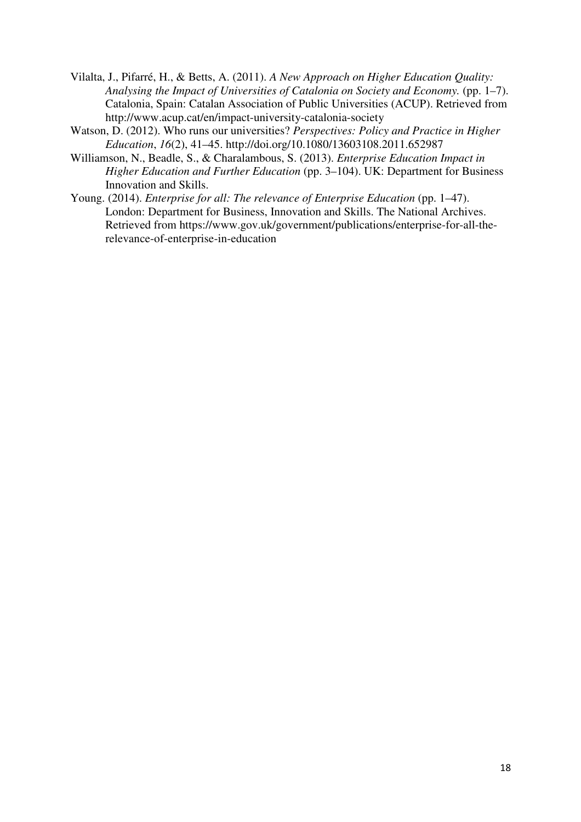- Vilalta, J., Pifarré, H., & Betts, A. (2011). *A New Approach on Higher Education Quality: Analysing the Impact of Universities of Catalonia on Society and Economy.* (pp. 1–7). Catalonia, Spain: Catalan Association of Public Universities (ACUP). Retrieved from http://www.acup.cat/en/impact-university-catalonia-society
- Watson, D. (2012). Who runs our universities? *Perspectives: Policy and Practice in Higher Education*, *16*(2), 41–45. http://doi.org/10.1080/13603108.2011.652987
- Williamson, N., Beadle, S., & Charalambous, S. (2013). *Enterprise Education Impact in Higher Education and Further Education* (pp. 3–104). UK: Department for Business Innovation and Skills.
- Young. (2014). *Enterprise for all: The relevance of Enterprise Education* (pp. 1–47). London: Department for Business, Innovation and Skills. The National Archives. Retrieved from https://www.gov.uk/government/publications/enterprise-for-all-therelevance-of-enterprise-in-education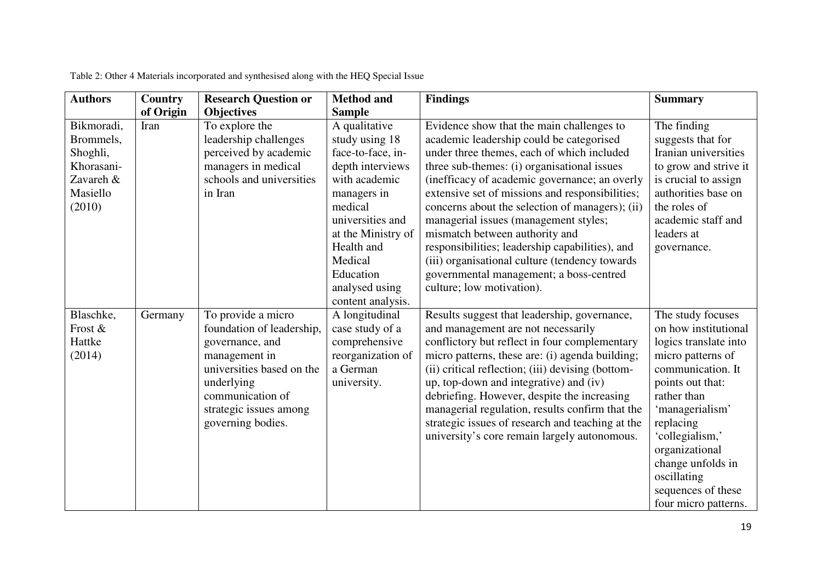| <b>Authors</b>                                                                       | Country   | <b>Research Question or</b>                                                                                                                                                                       | <b>Method and</b>                                                                                                                                                                                                                          | <b>Findings</b>                                                                                                                                                                                                                                                                                                                                                                                                                                                                                                                                                                                   | <b>Summary</b>                                                                                                                                                                                                                                                                                         |
|--------------------------------------------------------------------------------------|-----------|---------------------------------------------------------------------------------------------------------------------------------------------------------------------------------------------------|--------------------------------------------------------------------------------------------------------------------------------------------------------------------------------------------------------------------------------------------|---------------------------------------------------------------------------------------------------------------------------------------------------------------------------------------------------------------------------------------------------------------------------------------------------------------------------------------------------------------------------------------------------------------------------------------------------------------------------------------------------------------------------------------------------------------------------------------------------|--------------------------------------------------------------------------------------------------------------------------------------------------------------------------------------------------------------------------------------------------------------------------------------------------------|
|                                                                                      | of Origin | <b>Objectives</b>                                                                                                                                                                                 | <b>Sample</b>                                                                                                                                                                                                                              |                                                                                                                                                                                                                                                                                                                                                                                                                                                                                                                                                                                                   |                                                                                                                                                                                                                                                                                                        |
| Bikmoradi,<br>Brommels,<br>Shoghli,<br>Khorasani-<br>Zavareh &<br>Masiello<br>(2010) | Iran      | To explore the<br>leadership challenges<br>perceived by academic<br>managers in medical<br>schools and universities<br>in Iran                                                                    | A qualitative<br>study using 18<br>face-to-face, in-<br>depth interviews<br>with academic<br>managers in<br>medical<br>universities and<br>at the Ministry of<br>Health and<br>Medical<br>Education<br>analysed using<br>content analysis. | Evidence show that the main challenges to<br>academic leadership could be categorised<br>under three themes, each of which included<br>three sub-themes: (i) organisational issues<br>(inefficacy of academic governance; an overly<br>extensive set of missions and responsibilities;<br>concerns about the selection of managers); (ii)<br>managerial issues (management styles;<br>mismatch between authority and<br>responsibilities; leadership capabilities), and<br>(iii) organisational culture (tendency towards<br>governmental management; a boss-centred<br>culture; low motivation). | The finding<br>suggests that for<br>Iranian universities<br>to grow and strive it<br>is crucial to assign<br>authorities base on<br>the roles of<br>academic staff and<br>leaders at<br>governance.                                                                                                    |
| Blaschke,<br>Frost &<br>Hattke<br>(2014)                                             | Germany   | To provide a micro<br>foundation of leadership,<br>governance, and<br>management in<br>universities based on the<br>underlying<br>communication of<br>strategic issues among<br>governing bodies. | A longitudinal<br>case study of a<br>comprehensive<br>reorganization of<br>a German<br>university.                                                                                                                                         | Results suggest that leadership, governance,<br>and management are not necessarily<br>conflictory but reflect in four complementary<br>micro patterns, these are: (i) agenda building;<br>(ii) critical reflection; (iii) devising (bottom-<br>up, top-down and integrative) and (iv)<br>debriefing. However, despite the increasing<br>managerial regulation, results confirm that the<br>strategic issues of research and teaching at the<br>university's core remain largely autonomous.                                                                                                       | The study focuses<br>on how institutional<br>logics translate into<br>micro patterns of<br>communication. It<br>points out that:<br>rather than<br>'managerialism'<br>replacing<br>'collegialism,'<br>organizational<br>change unfolds in<br>oscillating<br>sequences of these<br>four micro patterns. |

Table 2: Other 4 Materials incorporated and synthesised along with the HEQ Special Issue